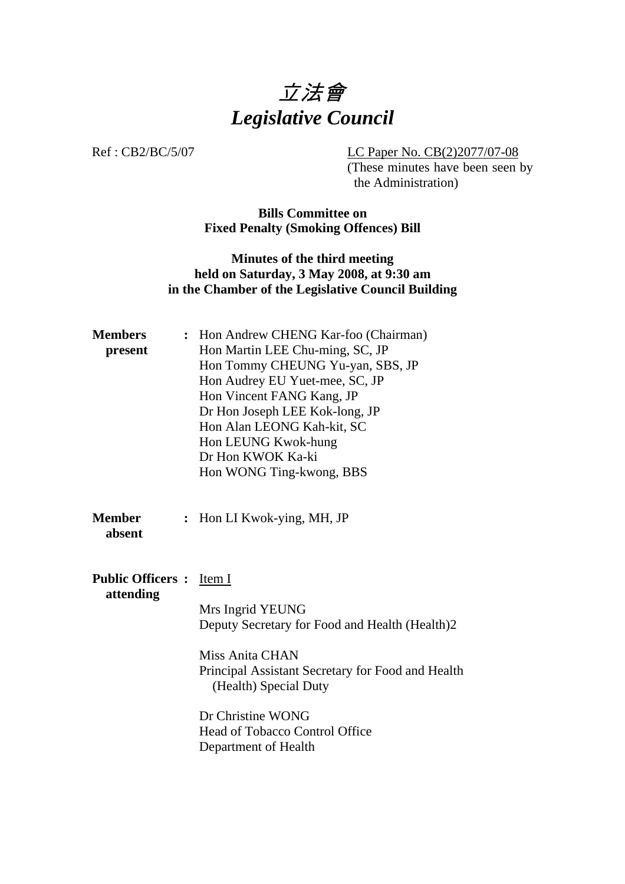

Ref : CB2/BC/5/07 LC Paper No. CB(2)2077/07-08

(These minutes have been seen by the Administration)

## **Bills Committee on Fixed Penalty (Smoking Offences) Bill**

## **Minutes of the third meeting held on Saturday, 3 May 2008, at 9:30 am in the Chamber of the Legislative Council Building**

| <b>Members</b><br>present                    |                | : Hon Andrew CHENG Kar-foo (Chairman)<br>Hon Martin LEE Chu-ming, SC, JP<br>Hon Tommy CHEUNG Yu-yan, SBS, JP<br>Hon Audrey EU Yuet-mee, SC, JP<br>Hon Vincent FANG Kang, JP<br>Dr Hon Joseph LEE Kok-long, JP<br>Hon Alan LEONG Kah-kit, SC<br>Hon LEUNG Kwok-hung<br>Dr Hon KWOK Ka-ki<br>Hon WONG Ting-kwong, BBS |
|----------------------------------------------|----------------|---------------------------------------------------------------------------------------------------------------------------------------------------------------------------------------------------------------------------------------------------------------------------------------------------------------------|
| <b>Member</b><br>absent                      | $\ddot{\cdot}$ | Hon LI Kwok-ying, MH, JP                                                                                                                                                                                                                                                                                            |
| <b>Public Officers :</b> Item I<br>attending |                | Mrs Ingrid YEUNG<br>Deputy Secretary for Food and Health (Health)2<br>Miss Anita CHAN<br>Principal Assistant Secretary for Food and Health<br>(Health) Special Duty<br>Dr Christine WONG<br><b>Head of Tobacco Control Office</b><br>Department of Health                                                           |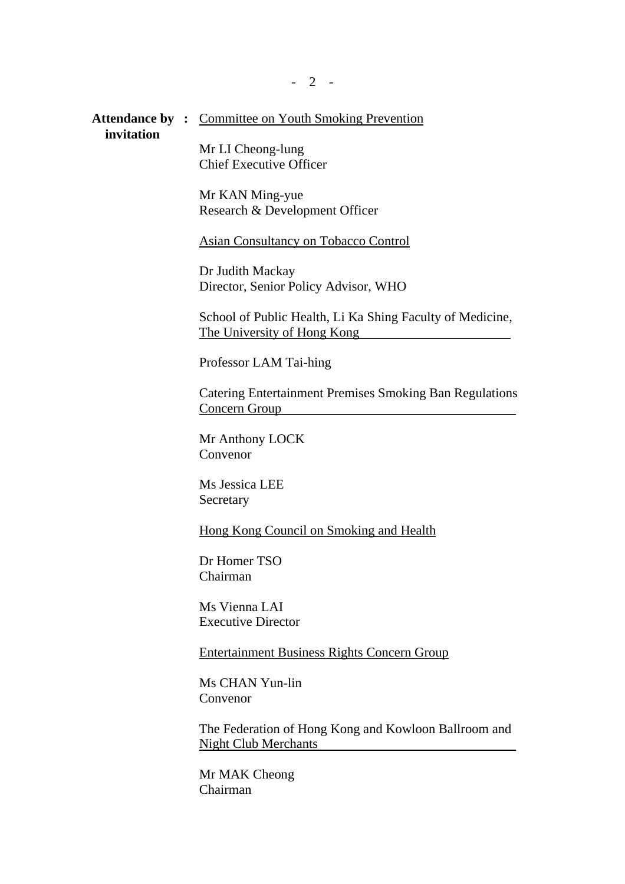Attendance by : Committee on Youth Smoking Prevention  **invitation**

> Mr LI Cheong-lung Chief Executive Officer

Mr KAN Ming-yue Research & Development Officer

Asian Consultancy on Tobacco Control

Dr Judith Mackay Director, Senior Policy Advisor, WHO

School of Public Health, Li Ka Shing Faculty of Medicine, The University of Hong Kong

Professor LAM Tai-hing

Catering Entertainment Premises Smoking Ban Regulations Concern Group

Mr Anthony LOCK Convenor

Ms Jessica LEE Secretary

Hong Kong Council on Smoking and Health

Dr Homer TSO Chairman

Ms Vienna LAI Executive Director

Entertainment Business Rights Concern Group

Ms CHAN Yun-lin Convenor

The Federation of Hong Kong and Kowloon Ballroom and Night Club Merchants

Mr MAK Cheong Chairman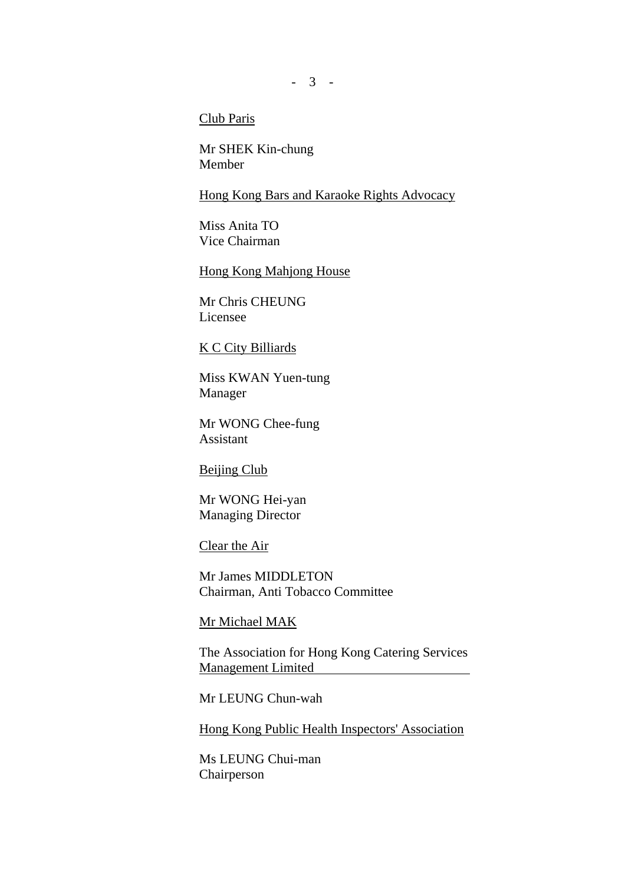### Club Paris

Mr SHEK Kin-chung Member

#### Hong Kong Bars and Karaoke Rights Advocacy

Miss Anita TO Vice Chairman

#### Hong Kong Mahjong House

Mr Chris CHEUNG Licensee

#### K C City Billiards

Miss KWAN Yuen-tung Manager

Mr WONG Chee-fung Assistant

Beijing Club

Mr WONG Hei-yan Managing Director

Clear the Air

Mr James MIDDLETON Chairman, Anti Tobacco Committee

Mr Michael MAK

The Association for Hong Kong Catering Services Management Limited

Mr LEUNG Chun-wah

Hong Kong Public Health Inspectors' Association

Ms LEUNG Chui-man Chairperson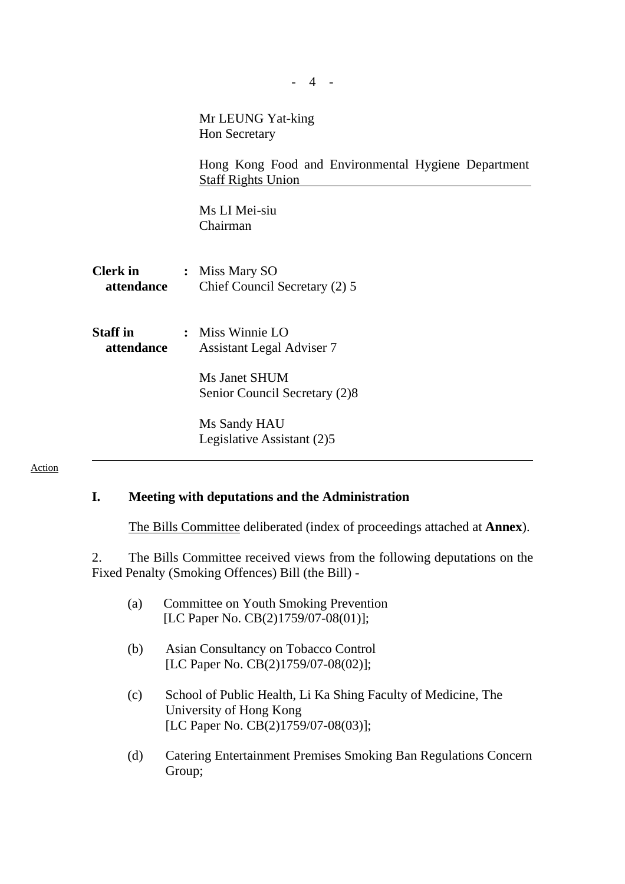|                               | Mr LEUNG Yat-king<br>Hon Secretary<br>Hong Kong Food and Environmental Hygiene Department              |
|-------------------------------|--------------------------------------------------------------------------------------------------------|
|                               | <b>Staff Rights Union</b><br>Ms LI Mei-siu<br>Chairman                                                 |
| <b>Clerk</b> in<br>attendance | : Miss Mary SO<br>Chief Council Secretary (2) 5                                                        |
| <b>Staff</b> in<br>attendance | : Miss Winnie LO<br><b>Assistant Legal Adviser 7</b><br>Ms Janet SHUM<br>Senior Council Secretary (2)8 |
|                               | Ms Sandy HAU<br>Legislative Assistant (2)5                                                             |

# Action

# **I. Meeting with deputations and the Administration**

The Bills Committee deliberated (index of proceedings attached at **Annex**).

2. The Bills Committee received views from the following deputations on the Fixed Penalty (Smoking Offences) Bill (the Bill) -

- (a) Committee on Youth Smoking Prevention [LC Paper No. CB(2)1759/07-08(01)];
- (b) Asian Consultancy on Tobacco Control [LC Paper No. CB(2)1759/07-08(02)];
- (c) School of Public Health, Li Ka Shing Faculty of Medicine, The University of Hong Kong [LC Paper No. CB(2)1759/07-08(03)];
- (d) Catering Entertainment Premises Smoking Ban Regulations Concern Group;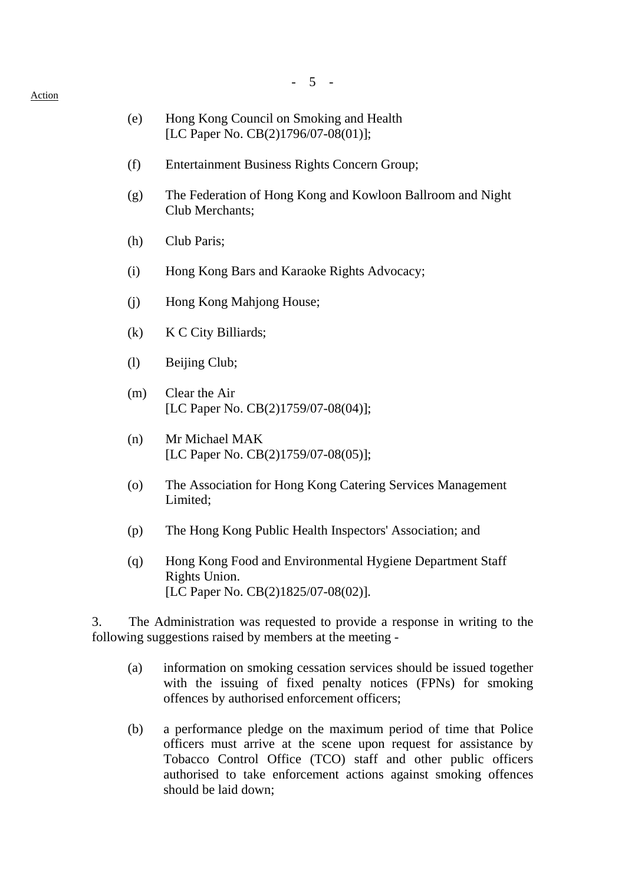## - 5 -

## (e) Hong Kong Council on Smoking and Health [LC Paper No. CB(2)1796/07-08(01)];

- (f) Entertainment Business Rights Concern Group;
- (g) The Federation of Hong Kong and Kowloon Ballroom and Night Club Merchants;
- (h) Club Paris;
- (i) Hong Kong Bars and Karaoke Rights Advocacy;
- (j) Hong Kong Mahjong House;
- (k) K C City Billiards;
- (l) Beijing Club;
- (m) Clear the Air [LC Paper No. CB(2)1759/07-08(04)];
- (n) Mr Michael MAK [LC Paper No. CB(2)1759/07-08(05)];
- (o) The Association for Hong Kong Catering Services Management Limited;
- (p) The Hong Kong Public Health Inspectors' Association; and
- (q) Hong Kong Food and Environmental Hygiene Department Staff Rights Union. [LC Paper No. CB(2)1825/07-08(02)].

3. The Administration was requested to provide a response in writing to the following suggestions raised by members at the meeting -

- (a) information on smoking cessation services should be issued together with the issuing of fixed penalty notices (FPNs) for smoking offences by authorised enforcement officers;
- (b) a performance pledge on the maximum period of time that Police officers must arrive at the scene upon request for assistance by Tobacco Control Office (TCO) staff and other public officers authorised to take enforcement actions against smoking offences should be laid down;

#### Action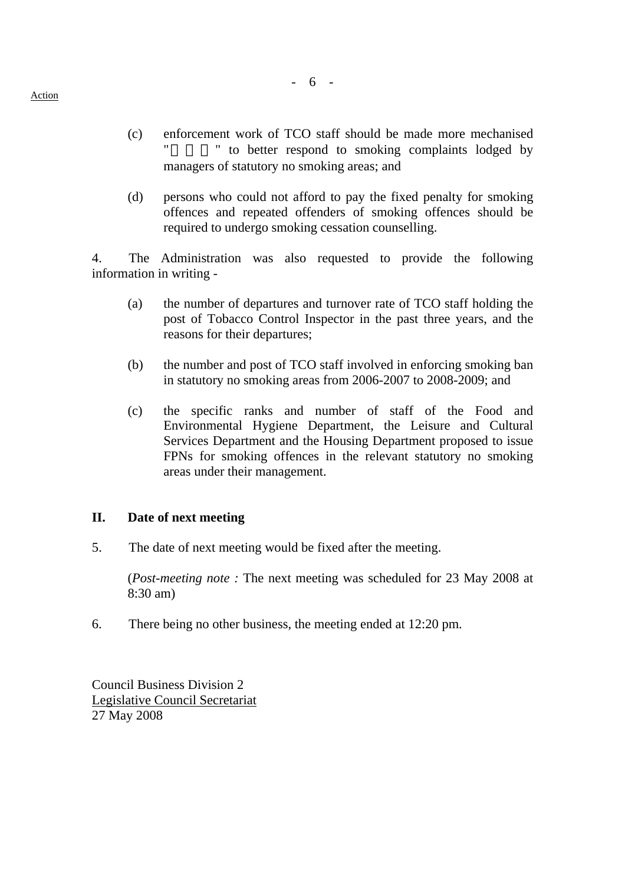- (c) enforcement work of TCO staff should be made more mechanised " to better respond to smoking complaints lodged by managers of statutory no smoking areas; and
- (d) persons who could not afford to pay the fixed penalty for smoking offences and repeated offenders of smoking offences should be required to undergo smoking cessation counselling.

4. The Administration was also requested to provide the following information in writing -

- (a) the number of departures and turnover rate of TCO staff holding the post of Tobacco Control Inspector in the past three years, and the reasons for their departures;
- (b) the number and post of TCO staff involved in enforcing smoking ban in statutory no smoking areas from 2006-2007 to 2008-2009; and
- (c) the specific ranks and number of staff of the Food and Environmental Hygiene Department, the Leisure and Cultural Services Department and the Housing Department proposed to issue FPNs for smoking offences in the relevant statutory no smoking areas under their management.

### **II. Date of next meeting**

5. The date of next meeting would be fixed after the meeting.

 (*Post-meeting note :* The next meeting was scheduled for 23 May 2008 at 8:30 am)

6. There being no other business, the meeting ended at 12:20 pm.

Council Business Division 2 Legislative Council Secretariat 27 May 2008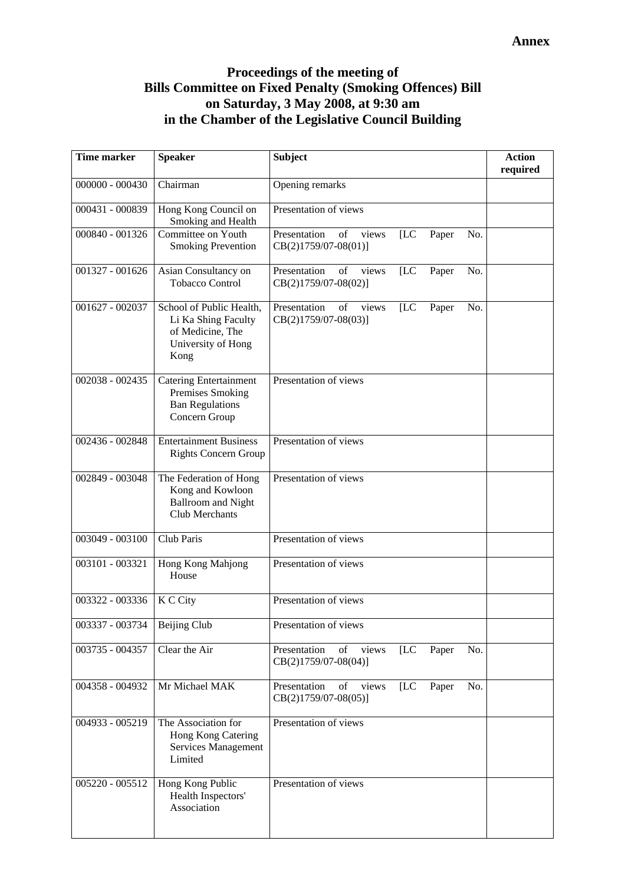# **Proceedings of the meeting of Bills Committee on Fixed Penalty (Smoking Offences) Bill on Saturday, 3 May 2008, at 9:30 am in the Chamber of the Legislative Council Building**

| <b>Time marker</b> | <b>Speaker</b>                                                                                    | <b>Subject</b>                                                                 | <b>Action</b><br>required |
|--------------------|---------------------------------------------------------------------------------------------------|--------------------------------------------------------------------------------|---------------------------|
| 000000 - 000430    | Chairman                                                                                          | Opening remarks                                                                |                           |
| 000431 - 000839    | Hong Kong Council on<br>Smoking and Health                                                        | Presentation of views                                                          |                           |
| 000840 - 001326    | Committee on Youth<br><b>Smoking Prevention</b>                                                   | Presentation<br>of<br>[LC]<br>views<br>Paper<br>No.<br>$CB(2)1759/07-08(01)]$  |                           |
| 001327 - 001626    | Asian Consultancy on<br><b>Tobacco Control</b>                                                    | Presentation<br>of<br>views<br>[LC]<br>No.<br>Paper<br>CB(2)1759/07-08(02)]    |                           |
| 001627 - 002037    | School of Public Health,<br>Li Ka Shing Faculty<br>of Medicine, The<br>University of Hong<br>Kong | Presentation<br>[LC]<br>No.<br>of<br>views<br>Paper<br>$CB(2)1759/07-08(03)$ ] |                           |
| 002038 - 002435    | <b>Catering Entertainment</b><br>Premises Smoking<br><b>Ban Regulations</b><br>Concern Group      | Presentation of views                                                          |                           |
| 002436 - 002848    | <b>Entertainment Business</b><br><b>Rights Concern Group</b>                                      | Presentation of views                                                          |                           |
| 002849 - 003048    | The Federation of Hong<br>Kong and Kowloon<br><b>Ballroom and Night</b><br><b>Club Merchants</b>  | Presentation of views                                                          |                           |
| 003049 - 003100    | Club Paris                                                                                        | Presentation of views                                                          |                           |
| 003101 - 003321    | Hong Kong Mahjong<br>House                                                                        | Presentation of views                                                          |                           |
| 003322 - 003336    | K C City                                                                                          | Presentation of views                                                          |                           |
| 003337 - 003734    | Beijing Club                                                                                      | Presentation of views                                                          |                           |
| 003735 - 004357    | Clear the Air                                                                                     | Presentation<br>of<br>[LC]<br>No.<br>views<br>Paper<br>$CB(2)1759/07-08(04)]$  |                           |
| 004358 - 004932    | Mr Michael MAK                                                                                    | Presentation<br>of<br>views<br>[LC]<br>No.<br>Paper<br>$CB(2)1759/07-08(05)]$  |                           |
| 004933 - 005219    | The Association for<br>Hong Kong Catering<br>Services Management<br>Limited                       | Presentation of views                                                          |                           |
| 005220 - 005512    | Hong Kong Public<br>Health Inspectors'<br>Association                                             | Presentation of views                                                          |                           |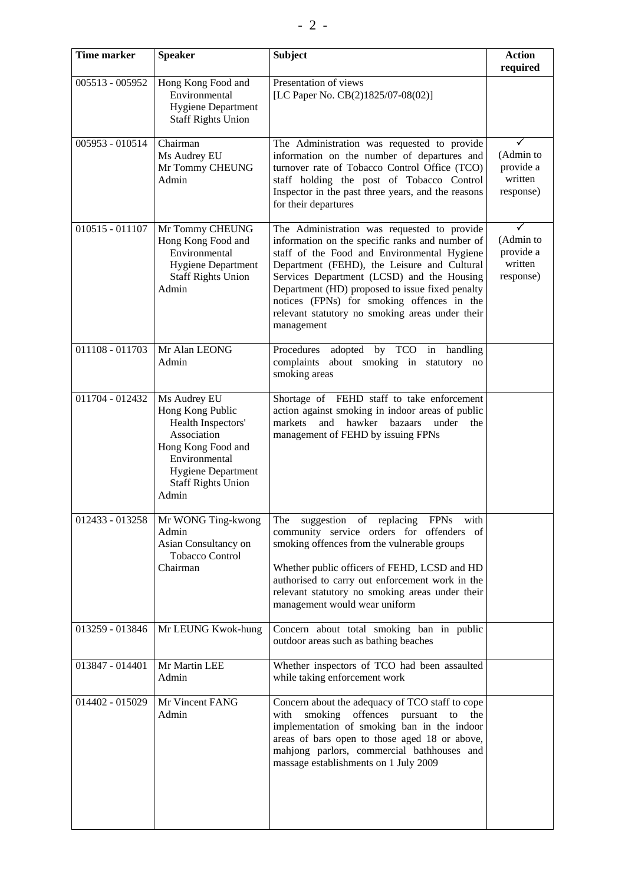| <b>Time marker</b> | <b>Speaker</b>                                                                                                                                                                  | <b>Subject</b>                                                                                                                                                                                                                                                                                                                                                                                               | <b>Action</b><br>required                      |
|--------------------|---------------------------------------------------------------------------------------------------------------------------------------------------------------------------------|--------------------------------------------------------------------------------------------------------------------------------------------------------------------------------------------------------------------------------------------------------------------------------------------------------------------------------------------------------------------------------------------------------------|------------------------------------------------|
| 005513 - 005952    | Hong Kong Food and<br>Environmental<br><b>Hygiene Department</b><br><b>Staff Rights Union</b>                                                                                   | Presentation of views<br>[LC Paper No. CB(2)1825/07-08(02)]                                                                                                                                                                                                                                                                                                                                                  |                                                |
| 005953 - 010514    | Chairman<br>Ms Audrey EU<br>Mr Tommy CHEUNG<br>Admin                                                                                                                            | The Administration was requested to provide<br>information on the number of departures and<br>turnover rate of Tobacco Control Office (TCO)<br>staff holding the post of Tobacco Control<br>Inspector in the past three years, and the reasons<br>for their departures                                                                                                                                       | (Admin to<br>provide a<br>written<br>response) |
| 010515 - 011107    | Mr Tommy CHEUNG<br>Hong Kong Food and<br>Environmental<br><b>Hygiene Department</b><br><b>Staff Rights Union</b><br>Admin                                                       | The Administration was requested to provide<br>information on the specific ranks and number of<br>staff of the Food and Environmental Hygiene<br>Department (FEHD), the Leisure and Cultural<br>Services Department (LCSD) and the Housing<br>Department (HD) proposed to issue fixed penalty<br>notices (FPNs) for smoking offences in the<br>relevant statutory no smoking areas under their<br>management | (Admin to<br>provide a<br>written<br>response) |
| 011108 - 011703    | Mr Alan LEONG<br>Admin                                                                                                                                                          | adopted by TCO in handling<br>Procedures<br>complaints<br>about smoking in statutory no<br>smoking areas                                                                                                                                                                                                                                                                                                     |                                                |
| 011704 - 012432    | Ms Audrey EU<br>Hong Kong Public<br>Health Inspectors'<br>Association<br>Hong Kong Food and<br>Environmental<br><b>Hygiene Department</b><br><b>Staff Rights Union</b><br>Admin | Shortage of FEHD staff to take enforcement<br>action against smoking in indoor areas of public<br>markets<br>hawker<br>under<br>and<br>bazaars<br>the<br>management of FEHD by issuing FPNs                                                                                                                                                                                                                  |                                                |
| 012433 - 013258    | Mr WONG Ting-kwong<br>Admin<br>Asian Consultancy on<br>Tobacco Control<br>Chairman                                                                                              | The suggestion of replacing FPNs with<br>community service orders for offenders of<br>smoking offences from the vulnerable groups<br>Whether public officers of FEHD, LCSD and HD<br>authorised to carry out enforcement work in the<br>relevant statutory no smoking areas under their<br>management would wear uniform                                                                                     |                                                |
| 013259 - 013846    | Mr LEUNG Kwok-hung                                                                                                                                                              | Concern about total smoking ban in public<br>outdoor areas such as bathing beaches                                                                                                                                                                                                                                                                                                                           |                                                |
| 013847 - 014401    | Mr Martin LEE<br>Admin                                                                                                                                                          | Whether inspectors of TCO had been assaulted<br>while taking enforcement work                                                                                                                                                                                                                                                                                                                                |                                                |
| 014402 - 015029    | Mr Vincent FANG<br>Admin                                                                                                                                                        | Concern about the adequacy of TCO staff to cope<br>smoking offences<br>with<br>pursuant<br>the<br>to<br>implementation of smoking ban in the indoor<br>areas of bars open to those aged 18 or above,<br>mahjong parlors, commercial bathhouses and<br>massage establishments on 1 July 2009                                                                                                                  |                                                |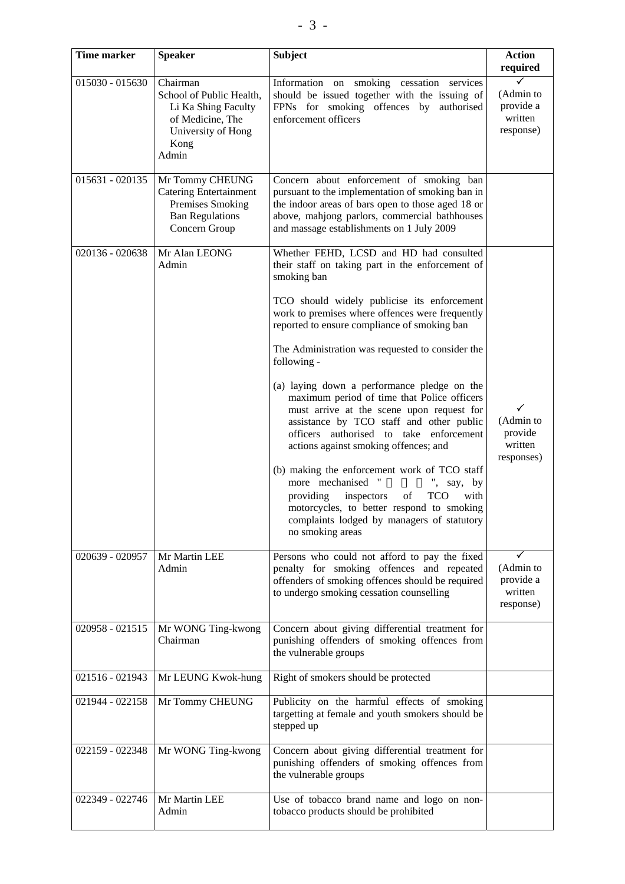| <b>Time marker</b> | <b>Speaker</b>                                                                                                         | <b>Subject</b>                                                                                                                                                                                                                                                                                                                                                                                                                                                                 | <b>Action</b>                                                 |
|--------------------|------------------------------------------------------------------------------------------------------------------------|--------------------------------------------------------------------------------------------------------------------------------------------------------------------------------------------------------------------------------------------------------------------------------------------------------------------------------------------------------------------------------------------------------------------------------------------------------------------------------|---------------------------------------------------------------|
|                    |                                                                                                                        |                                                                                                                                                                                                                                                                                                                                                                                                                                                                                | required                                                      |
| 015030 - 015630    | Chairman<br>School of Public Health,<br>Li Ka Shing Faculty<br>of Medicine, The<br>University of Hong<br>Kong<br>Admin | Information on smoking cessation services<br>should be issued together with the issuing of<br>FPNs for smoking offences by<br>authorised<br>enforcement officers                                                                                                                                                                                                                                                                                                               | (Admin to<br>provide a<br>written<br>response)                |
| $015631 - 020135$  | Mr Tommy CHEUNG<br><b>Catering Entertainment</b><br>Premises Smoking<br><b>Ban Regulations</b><br>Concern Group        | Concern about enforcement of smoking ban<br>pursuant to the implementation of smoking ban in<br>the indoor areas of bars open to those aged 18 or<br>above, mahjong parlors, commercial bathhouses<br>and massage establishments on 1 July 2009                                                                                                                                                                                                                                |                                                               |
| 020136 - 020638    | Mr Alan LEONG<br>Admin                                                                                                 | Whether FEHD, LCSD and HD had consulted<br>their staff on taking part in the enforcement of<br>smoking ban                                                                                                                                                                                                                                                                                                                                                                     |                                                               |
|                    |                                                                                                                        | TCO should widely publicise its enforcement<br>work to premises where offences were frequently<br>reported to ensure compliance of smoking ban                                                                                                                                                                                                                                                                                                                                 |                                                               |
|                    |                                                                                                                        | The Administration was requested to consider the<br>following -                                                                                                                                                                                                                                                                                                                                                                                                                |                                                               |
|                    |                                                                                                                        | (a) laying down a performance pledge on the<br>maximum period of time that Police officers<br>must arrive at the scene upon request for<br>assistance by TCO staff and other public<br>officers authorised to take enforcement<br>actions against smoking offences; and<br>(b) making the enforcement work of TCO staff<br>more mechanised<br>$^{\prime\prime}$<br>say, by<br><b>TCO</b><br>providing<br>inspectors<br>with<br>of<br>motorcycles, to better respond to smoking | $\checkmark$<br>(Admin to<br>provide<br>written<br>responses) |
|                    |                                                                                                                        | complaints lodged by managers of statutory<br>no smoking areas                                                                                                                                                                                                                                                                                                                                                                                                                 |                                                               |
| 020639 - 020957    | Mr Martin LEE<br>Admin                                                                                                 | Persons who could not afford to pay the fixed<br>penalty for smoking offences and repeated<br>offenders of smoking offences should be required<br>to undergo smoking cessation counselling                                                                                                                                                                                                                                                                                     | (Admin to<br>provide a<br>written<br>response)                |
| 020958 - 021515    | Mr WONG Ting-kwong<br>Chairman                                                                                         | Concern about giving differential treatment for<br>punishing offenders of smoking offences from<br>the vulnerable groups                                                                                                                                                                                                                                                                                                                                                       |                                                               |
| 021516 - 021943    | Mr LEUNG Kwok-hung                                                                                                     | Right of smokers should be protected                                                                                                                                                                                                                                                                                                                                                                                                                                           |                                                               |
| 021944 - 022158    | Mr Tommy CHEUNG                                                                                                        | Publicity on the harmful effects of smoking<br>targetting at female and youth smokers should be<br>stepped up                                                                                                                                                                                                                                                                                                                                                                  |                                                               |
| 022159 - 022348    | Mr WONG Ting-kwong                                                                                                     | Concern about giving differential treatment for<br>punishing offenders of smoking offences from<br>the vulnerable groups                                                                                                                                                                                                                                                                                                                                                       |                                                               |
| 022349 - 022746    | Mr Martin LEE<br>Admin                                                                                                 | Use of tobacco brand name and logo on non-<br>tobacco products should be prohibited                                                                                                                                                                                                                                                                                                                                                                                            |                                                               |